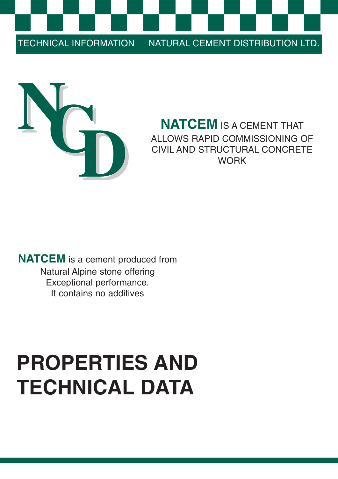TECHNICAL INFORMATION NATURAL CEMENT DISTRIBUTION LTD.



## **NATCEM** IS A CEMENT THAT ALLOWS RAPID COMMISSIONING OF CIVIL AND STRUCTURAL CONCRETE **WORK**

**NATCEM** is a cement produced from Natural Alpine stone offering Exceptional performance. It contains no additives

# **PROPERTIES AND TECHNICAL DATA**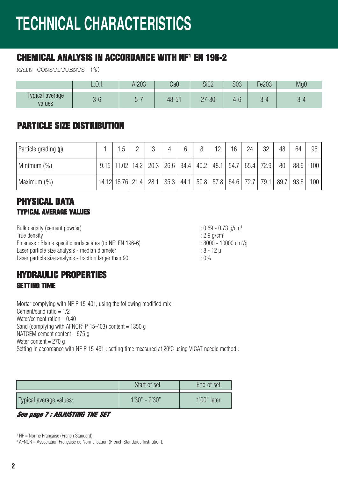## **TECHNICAL CHARACTERISTICS**

### **CHEMICAL ANALYSIS IN ACCORDANCE WITH NF1 EN 196-2**

MAIN CONSTITUENTS (%)

|                           | ∟.∪.⊥.                                  | AI203 | $\cdot \cap \cap$<br>uau | <b>Si02</b>              | nnn<br>ასა | Fe203  | Mg0 |
|---------------------------|-----------------------------------------|-------|--------------------------|--------------------------|------------|--------|-----|
| Typical average<br>values | $\mathbf{r}$<br>$\overline{\mathsf{u}}$ | $n-$  | $48 - 51$                | $7 - 30$<br>∩¬<br>$\sim$ | 4-t        | $\sim$ |     |

#### **PARTICLE SIZE DISTRIBUTION**

| $\vert$ Particle grading $(\mu)$ | 1.5                                                                                                                                                                |  | 6 | 8 | 12 | 16 | 24 | 32 | 48 | 64   | 96  |
|----------------------------------|--------------------------------------------------------------------------------------------------------------------------------------------------------------------|--|---|---|----|----|----|----|----|------|-----|
| Minimum (%)                      | $9.15$   11.02   14.2   20.3   26.6   34.4   40.2   48.1   54.7   65.4   72.9   80                                                                                 |  |   |   |    |    |    |    |    | 88.9 | 100 |
| Maximum (%)                      | $\vert$ 14.12 16.76 21.4 $\vert$ 28.1 $\vert$ 35.3 $\vert$ 44.1 $\vert$ 50.8 $\vert$ 57.8 $\vert$ 64.6 $\vert$ 72.7 $\vert$ 79.1 $\vert$ 89.7 $\vert$ 93.6 $\vert$ |  |   |   |    |    |    |    |    |      | 100 |

#### **PHYSICAL DATA TYPICAL AVERAGE VALUES**

Bulk density (cement powder)  $\cdot$  0.69 - 0.73 g/cm<sup>3</sup> True density : 2.9 g/cm<sup>3</sup> Fineness : Blaine specific surface area (to  $NF<sup>1</sup> EN 196-6$ ) Laser particle size analysis - median diameter  $\cdot$  8 - 12 µ Laser particle size analysis - fraction larger than 90

#### **HYDRAULIC PROPERTIES SETTING TIME**

Mortar complying with NF P 15-401, using the following modified mix : Cement/sand ratio = 1/2 Water/cement ration  $= 0.40$ Sand (complying with AFNOR<sup>2</sup> P 15-403) content = 1350 g NATCEM cement content  $= 675$  g Water content  $= 270$  g Setting in accordance with NF P 15-431 : setting time measured at 20 °C using VICAT needle method :

|                         | Start of set    | End of set    |
|-------------------------|-----------------|---------------|
| Typical average values: | $1'30" - 2'30"$ | $1'00"$ later |

*See page 7 : ADJUSTING THE SET*

<sup>1</sup> NF = Norme Française (French Standard).

<sup>2</sup> AFNOR = Association Française de Normalisation (French Standards Institution).

 $: 8000 - 10000$  cm<sup>2</sup>/g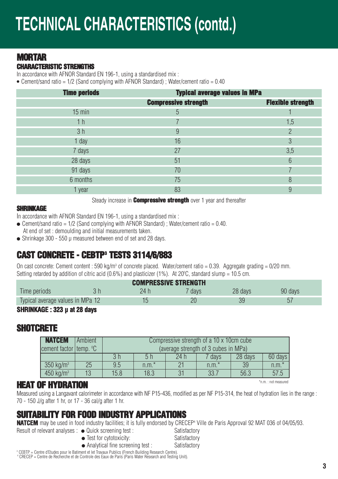#### **MORTAR**

#### **CHARACTERISTIC STRENGTHS**

In accordance with AFNOR Standard EN 196-1, using a standardised mix :

**●** Cement/sand ratio = 1/2 (Sand complying with AFNOR Standard) ; Water/cement ratio = 0.40

| <b>Time periods</b> | <b>Typical average values in MPa</b> |                          |
|---------------------|--------------------------------------|--------------------------|
|                     | <b>Compressive strength</b>          | <b>Flexible strength</b> |
| $15$ min            | 5                                    |                          |
| 1 <sub>h</sub>      |                                      | 1,5                      |
| 3 <sub>h</sub>      | 9                                    | ŋ                        |
| 1 day               | 16                                   | 3                        |
| 7 days              | 27                                   | 3,5                      |
| 28 days             | 51                                   | 6                        |
| 91 days             | 70                                   |                          |
| 6 months            | 75                                   | 8                        |
| 1 year              | 83                                   | 9                        |

Steady increase in **Compressive strength** over 1 year and thereafter

#### **SHRINKAGE**

In accordance with AFNOR Standard EN 196-1, using a standardised mix :

- Cement/sand ratio = 1/2 (Sand complying with AFNOR Standard); Water/cement ratio = 0.40. At end of set : demoulding and initial measurements taken.
- **●** Shrinkage 300 550 µ measured between end of set and 28 days.

#### **CAST CONCRETE - CEBTP3 TESTS 3114/6/883**

On cast concrete: Cement content : 590 kg/m<sup>3</sup> of concrete placed. Water/cement ratio = 0.39. Aggregate grading = 0/20 mm. Setting retarded by addition of citric acid (0.6%) and plasticizer (1%). At 20 °C, standard slump = 10.5 cm.

| <b>COMPRESSIVE STRENGTH</b>      |  |     |      |         |         |  |  |  |  |
|----------------------------------|--|-----|------|---------|---------|--|--|--|--|
| lime periods                     |  | 24. | days | 28 days | 90 days |  |  |  |  |
| Typical average values in MPa 12 |  |     |      |         |         |  |  |  |  |

#### **SHRINKAGE : 323 µ at 28 days**

#### **SHOTCRETE**

| <b>NATCEM</b>          | Ambient |      | Compressive strength of a 10 x 10cm cube |      |         |         |           |  |  |
|------------------------|---------|------|------------------------------------------|------|---------|---------|-----------|--|--|
| cement factor temp. °C |         |      | (average strength of 3 cubes in MPa)     |      |         |         |           |  |  |
|                        |         |      | 5h                                       | 24 h | davs    | 28 days | $60$ days |  |  |
| $350 \text{ kg/m}^3$   | 25      | 9.5  | $n.m.*$                                  | 21   | $n.m.*$ | 39      | $n.m.*$   |  |  |
| 450 kg/ $m^3$          | 13      | 15.8 | 18.3                                     | 31   | 33.7    | 56.3    | 57.5      |  |  |

#### \*n.m. : not measured **HEAT OF HYDRATION**

Measured using a Langavant calorimeter in accordance with NF P15-436, modified as per NF P15-314, the heat of hydration lies in the range : 70 - 150 J/g after 1 hr, or 17 - 36 cal/g after 1 hr.

### **SUITABILITY FOR FOOD INDUSTRY APPLICATIONS**

**NATCEM** may be used in food industry facilities; it is fully endorsed by CRECEP<sup>4</sup> Ville de Paris Approval 92 MAT 036 of 04/05/93.

- Result of relevant analyses : Quick screening test : Satisfactory
	- **•** Test for cytotoxicity: Satisfactory
	- Analytical fine screening test : Satisfactory
	-

<sup>3</sup> CEBTP = Centre d'Etudes pour le Batiment et let Travaux Publics (French Building Research Centre).<br><sup>4</sup> CRECEP = Centre de Recherche et de Controle des Eaux de Paris (Paris Water Research and Testing Unit).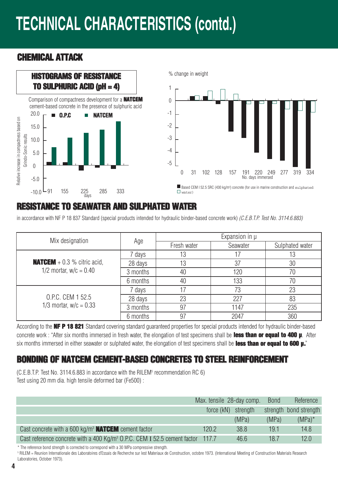## **TECHNICAL CHARACTERISTICS (contd.)**

#### **CHEMICAL ATTACK**



#### **RESISTANCE TO SEAWATER AND SULPHATED WATER**

in accordance with NF P 18 837 Standard (special products intended for hydraulic binder-based concrete work) (C.E.B.T.P. Test No. 3114.6.883)

| Mix designation                                                |          | Expansion in $\mu$ |          |                 |  |
|----------------------------------------------------------------|----------|--------------------|----------|-----------------|--|
|                                                                | Age      | Fresh water        | Seawater | Sulphated water |  |
| <b>NATCEM</b> + 0.3 % citric acid,<br>1/2 mortar, $w/c = 0.40$ | 7 days   | 13                 |          | 13              |  |
|                                                                | 28 days  | 13                 | 37       | 30              |  |
|                                                                | 3 months | 40                 | 120      | 70              |  |
|                                                                | 6 months | 40                 | 133      | 70              |  |
|                                                                | 7 days   |                    | 73       | 23              |  |
| 0.P.C. CEM 1 52.5                                              | 28 days  | 23                 | 227      | 83              |  |
| 1/3 mortar, $w/c = 0.33$                                       | 3 months | 97                 | 1147     | 235             |  |
|                                                                | 6 months | 97                 | 2047     | 360             |  |

According to the **NF P 18 821** Standard covering standard guaranteed properties for special products intended for hydraulic binder-based concrete work : "After six months immersed in fresh water, the elongation of test specimens shall be **less than or equal to 400 µ**. After six months immersed in either seawater or sulphated water, the elongation of test specimens shall be **less than or equal to 600 µ.**"

#### **BONDING OF NATCEM CEMENT-BASED CONCRETES TO STEEL REINFORCEMENT**

(C.E.B.T.P. Test No. 3114.6.883 in accordance with the RILEM<sup>5</sup> recommendation RC 6) Test using 20 mm dia. high tensile deformed bar (Fe500) :

|                                                                                            | Max. tensile 28-day comp. |       | <b>Bond</b> | Reference              |
|--------------------------------------------------------------------------------------------|---------------------------|-------|-------------|------------------------|
|                                                                                            | force (kN) strength       |       |             | strength bond strength |
|                                                                                            |                           | (MPa) | (MPa)       | $(MPa)^*$              |
| Cast concrete with a 600 kg/m <sup>3</sup> <b>NATCEM</b> cement factor                     | 120.2                     | 38.8  | 19.1        | 14.8                   |
| Cast reference concrete with a 400 Kg/m <sup>3</sup> O.P.C. CEM I 52.5 cement factor 117.7 |                           | 46.6  | 18.7        | 12.0                   |

\* The reference bond strength is corrected to correspond with a 30 MPa compressive strength.

<sup>5</sup> RILEM = Reunion Internationale des Laboratoires d'Essais de Recherche sur lest Materiaux de Construction, octobre 1973. (International Meeting of Construction Materials Research Laboratories, October 1973).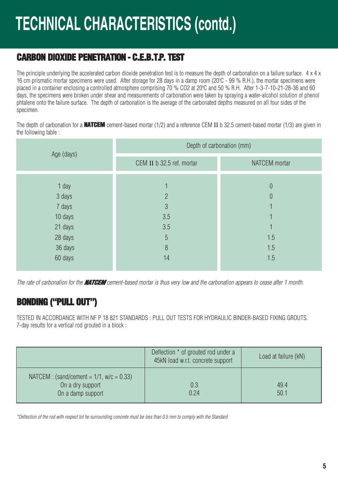### **CARBON DIOXIDE PENETRATION - C.E.B.T.P. TEST**

The principle underlying the accelerated carbon dioxide penetration test is to measure the depth of carbonation on a failure surface.  $4 \times 4 \times$ 16 cm prismatic mortar specimens were used. After storage for 28 days in a damp room (20 $^{\circ}$ C - 99 % R.H.), the mortar specimens were placed in a container enclosing a controlled atmosphere comprising 70 % CO2 at 20°C and 50 % R.H. After 1-3-7-10-21-28-36 and 60 days, the specimens were broken under shear and measurements of carbonation were taken by spraying a water-alcohol solution of phenol phtalene onto the failure surface. The depth of carbonation is the average of the carbonated depths measured on all four sides of the specimen.

The depth of carbonation for a **NATCEM** cement-based mortar (1/2) and a reference CEM II b 32.5 cement-based mortar (1/3) are given in the following table :

| Age (days) | Depth of carbonation (mm) |               |  |  |  |  |
|------------|---------------------------|---------------|--|--|--|--|
|            | CEM II b 32.5 ref. mortar | NATCEM mortar |  |  |  |  |
|            |                           |               |  |  |  |  |
| 1 day      |                           | $\theta$      |  |  |  |  |
| 3 days     | $\overline{2}$            | $\theta$      |  |  |  |  |
| 7 days     | $\mathcal{S}$             |               |  |  |  |  |
| 10 days    | 3.5                       |               |  |  |  |  |
| 21 days    | 3.5                       |               |  |  |  |  |
| 28 days    | 5                         | 1.5           |  |  |  |  |
| 36 days    | 8                         | 1.5           |  |  |  |  |
| 60 days    | 14                        | 1.5           |  |  |  |  |

The rate of carbonation for the *NATCEM* cement-based mortar is thus very low and the carbonation appears to cease after 1 month.

### **BONDING ("PULL OUT")**

TESTED IN ACCORDANCE WITH NF P 18 821 STANDARDS : PULL OUT TESTS FOR HYDRAULIC BINDER-BASED FIXING GROUTS. 7-day results for a vertical rod grouted in a block :

|                                                                                     | Deflection * of grouted rod under a<br>45kN load w.r.t. concrete support | Load at failure (kN) |
|-------------------------------------------------------------------------------------|--------------------------------------------------------------------------|----------------------|
| NATCEM : $(sand/cement = 1/1, w/c = 0.33)$<br>On a dry support<br>On a damp support | 0.3<br>0.24                                                              | 49.4<br>50.1         |

\*Deflection of the rod with respect tot he surrounding concrete must be less than 0.5 mm to comply with the Standard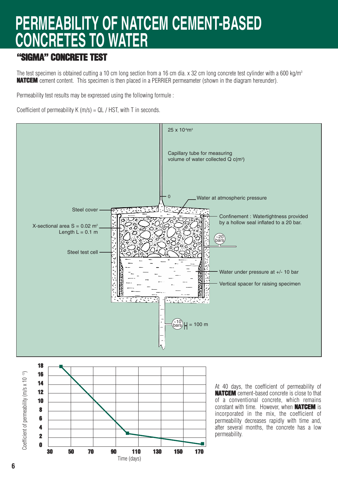## **PERMEABILITY OF NATCEM CEMENT-BASED CONCRETES TO WATER**

#### **"SIGMA" CONCRETE TEST**

The test specimen is obtained cutting a 10 cm long section from a 16 cm dia. x 32 cm long concrete test cylinder with a 600 kg/m<sup>3</sup> **NATCEM** cement content. This specimen is then placed in a PERRIER permeameter (shown in the diagram hereunder).

Permeability test results may be expressed using the following formule :

Coefficient of permeability  $K(m/s) = QL / HST$ , with T in seconds.



n

**30 50 70 90 110 130 150 170** Time (days)

**0**